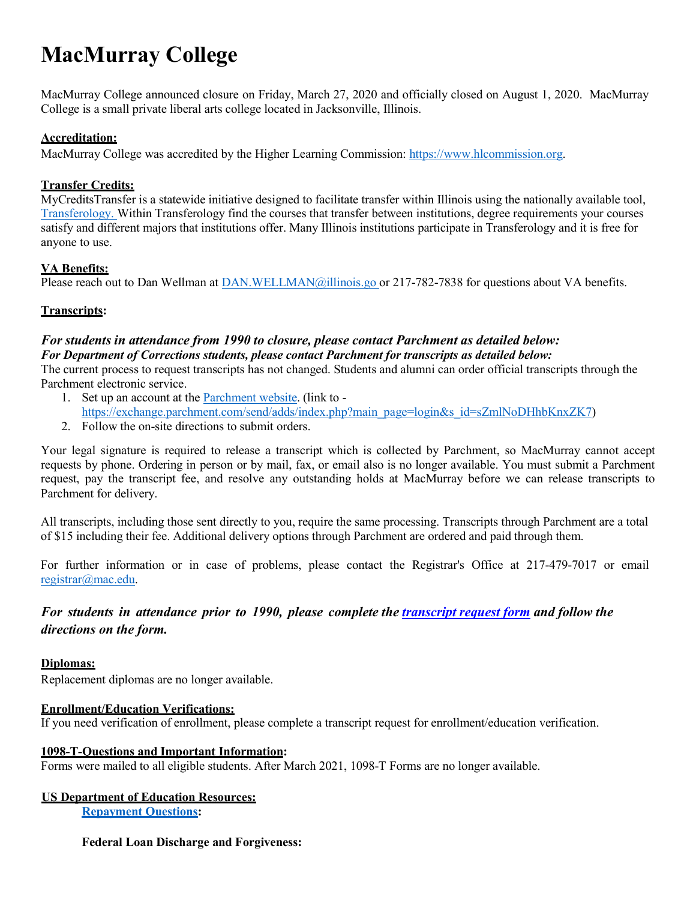# **MacMurray College**

MacMurray College announced closure on Friday, March 27, 2020 and officially closed on August 1, 2020. MacMurray College is a small private liberal arts college located in Jacksonville, Illinois.

# **Accreditation:**

MacMurray College was accredited by the Higher Learning Commission: [https://www.hlcommission.org.](https://www.hlcommission.org/)

# **Transfer Credits:**

MyCreditsTransfer is a statewide initiative designed to facilitate transfer within Illinois using the nationally available tool, [Transferology.](https://www.transferology.com/index.htm) Within Transferology find the courses that transfer between institutions, degree requirements your courses satisfy and different majors that institutions offer. Many Illinois institutions participate in Transferology and it is free for anyone to use.

# **VA Benefits:**

Please reach out to Dan Wellman at [DAN.WELLMAN@illinois.go o](mailto:DAN.WELLMAN@illinois.go)r 217-782-7838 for questions about VA benefits.

### **Transcripts:**

# *For students in attendance from 1990 to closure, please contact Parchment as detailed below: For Department of Corrections students, please contact Parchment for transcripts as detailed below:*

The current process to request transcripts has not changed. Students and alumni can order official transcripts through the Parchment electronic service.

- 1. Set up an account at the [Parchment](https://exchange.parchment.com/send/adds/index.php?main_page=login&s_id=sZmlNoDHhbKnxZK7) website. (link to -
- [https://exchange.parchment.com/send/adds/index.php?main\\_page=login&s\\_id=sZmlNoDHhbKnxZK7\)](https://exchange.parchment.com/send/adds/index.php?main_page=login&s_id=sZmlNoDHhbKnxZK7)
- 2. Follow the on-site directions to submit orders.

Your legal signature is required to release a transcript which is collected by Parchment, so MacMurray cannot accept requests by phone. Ordering in person or by mail, fax, or email also is no longer available. You must submit a Parchment request, pay the transcript fee, and resolve any outstanding holds at MacMurray before we can release transcripts to Parchment for delivery.

All transcripts, including those sent directly to you, require the same processing. Transcripts through Parchment are a total of \$15 including their fee. Additional delivery options through Parchment are ordered and paid through them.

For further information or in case of problems, please contact the Registrar's Office at 217-479-7017 or email [registrar@mac.edu.](mailto:registrar@mac.edu)

*For students in attendance prior to 1990, please complete the [transcript](https://www.ibhe.org/assets/files/Closed-Schools/DG_Transcript_Form_Public_2022.pdf) request form and follow the directions on the form.*

#### **Diplomas:**

Replacement diplomas are no longer available.

#### **Enrollment/Education Verifications:**

If you need verification of enrollment, please complete a transcript request for enrollment/education verification.

#### **1098-T-Questions and Important Information:**

Forms were mailed to all eligible students. After March 2021, 1098-T Forms are no longer available.

# **US Department of Education Resources:**

**[Repayment](https://studentaid.gov/manage-loans/repayment) Questions:**

#### **Federal Loan Discharge and Forgiveness:**